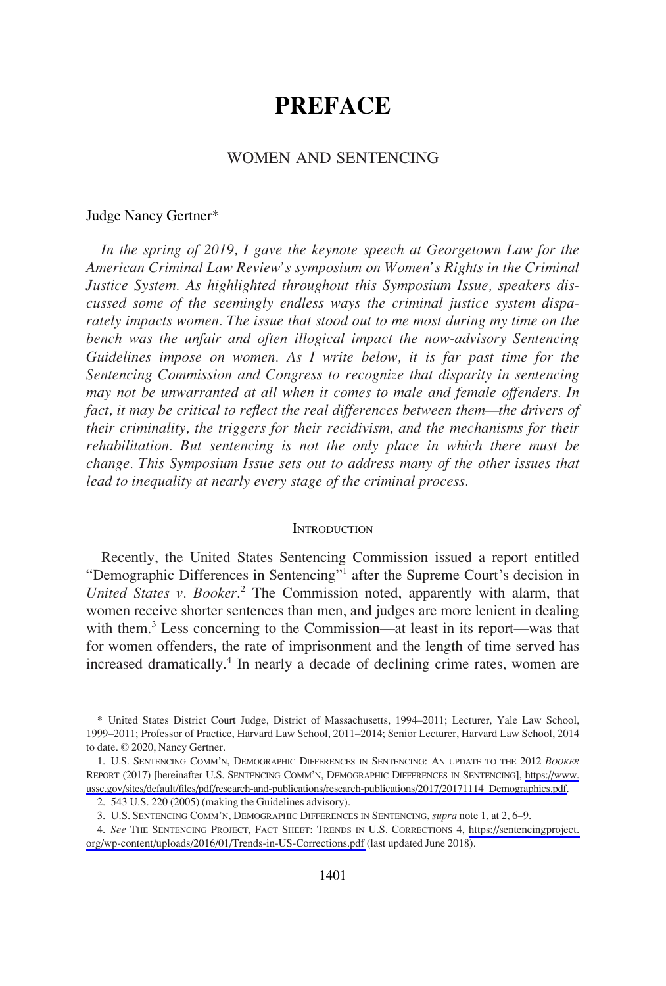# **PREFACE**

## WOMEN AND SENTENCING

#### Judge Nancy Gertner\*

*In the spring of 2019, I gave the keynote speech at Georgetown Law for the American Criminal Law Review's symposium on Women's Rights in the Criminal Justice System. As highlighted throughout this Symposium Issue, speakers discussed some of the seemingly endless ways the criminal justice system disparately impacts women. The issue that stood out to me most during my time on the bench was the unfair and often illogical impact the now-advisory Sentencing Guidelines impose on women. As I write below, it is far past time for the Sentencing Commission and Congress to recognize that disparity in sentencing may not be unwarranted at all when it comes to male and female offenders. In fact, it may be critical to reflect the real differences between them—the drivers of their criminality, the triggers for their recidivism, and the mechanisms for their rehabilitation. But sentencing is not the only place in which there must be change. This Symposium Issue sets out to address many of the other issues that lead to inequality at nearly every stage of the criminal process.* 

#### **INTRODUCTION**

Recently, the United States Sentencing Commission issued a report entitled "Demographic Differences in Sentencing"<sup>1</sup> after the Supreme Court's decision in *United States v. Booker*. 2 The Commission noted, apparently with alarm, that women receive shorter sentences than men, and judges are more lenient in dealing with them.<sup>3</sup> Less concerning to the Commission—at least in its report—was that for women offenders, the rate of imprisonment and the length of time served has increased dramatically.<sup>4</sup> In nearly a decade of declining crime rates, women are

<sup>\*</sup> United States District Court Judge, District of Massachusetts, 1994–2011; Lecturer, Yale Law School, 1999–2011; Professor of Practice, Harvard Law School, 2011–2014; Senior Lecturer, Harvard Law School, 2014 to date. © 2020, Nancy Gertner.

<sup>1.</sup> U.S. SENTENCING COMM'N, DEMOGRAPHIC DIFFERENCES IN SENTENCING: AN UPDATE TO THE 2012 *BOOKER* REPORT (2017) [hereinafter U.S. SENTENCING COMM'N, DEMOGRAPHIC DIFFERENCES IN SENTENCING], [https://www.](https://www.ussc.gov/sites/default/files/pdf/research-and-publications/research-publications/2017/20171114_Demographics.pdf) [ussc.gov/sites/default/files/pdf/research-and-publications/research-publications/2017/20171114\\_Demographics.pdf.](https://www.ussc.gov/sites/default/files/pdf/research-and-publications/research-publications/2017/20171114_Demographics.pdf)

<sup>2. 543</sup> U.S. 220 (2005) (making the Guidelines advisory).

<sup>3.</sup> U.S. SENTENCING COMM'N, DEMOGRAPHIC DIFFERENCES IN SENTENCING, *supra* note 1, at 2, 6–9.

*See* THE SENTENCING PROJECT, FACT SHEET: TRENDS IN U.S. CORRECTIONS 4, [https://sentencingproject.](https://sentencingproject.org/wp-content/uploads/2016/01/Trends-in-US-Corrections.pdf)  4. [org/wp-content/uploads/2016/01/Trends-in-US-Corrections.pdf](https://sentencingproject.org/wp-content/uploads/2016/01/Trends-in-US-Corrections.pdf) (last updated June 2018).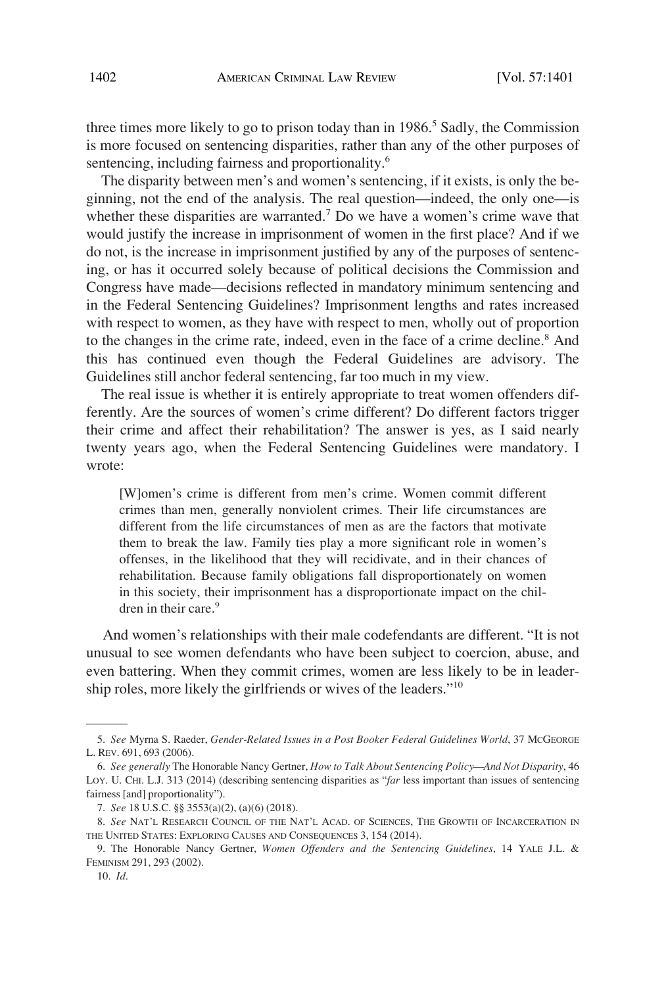three times more likely to go to prison today than in 1986.<sup>5</sup> Sadly, the Commission is more focused on sentencing disparities, rather than any of the other purposes of sentencing, including fairness and proportionality.<sup>6</sup>

The disparity between men's and women's sentencing, if it exists, is only the beginning, not the end of the analysis. The real question—indeed, the only one—is whether these disparities are warranted.<sup>7</sup> Do we have a women's crime wave that would justify the increase in imprisonment of women in the first place? And if we do not, is the increase in imprisonment justified by any of the purposes of sentencing, or has it occurred solely because of political decisions the Commission and Congress have made—decisions reflected in mandatory minimum sentencing and in the Federal Sentencing Guidelines? Imprisonment lengths and rates increased with respect to women, as they have with respect to men, wholly out of proportion to the changes in the crime rate, indeed, even in the face of a crime decline.<sup>8</sup> And this has continued even though the Federal Guidelines are advisory. The Guidelines still anchor federal sentencing, far too much in my view.

The real issue is whether it is entirely appropriate to treat women offenders differently. Are the sources of women's crime different? Do different factors trigger their crime and affect their rehabilitation? The answer is yes, as I said nearly twenty years ago, when the Federal Sentencing Guidelines were mandatory. I wrote:

[W]omen's crime is different from men's crime. Women commit different crimes than men, generally nonviolent crimes. Their life circumstances are different from the life circumstances of men as are the factors that motivate them to break the law. Family ties play a more significant role in women's offenses, in the likelihood that they will recidivate, and in their chances of rehabilitation. Because family obligations fall disproportionately on women in this society, their imprisonment has a disproportionate impact on the children in their care.<sup>9</sup>

And women's relationships with their male codefendants are different. "It is not unusual to see women defendants who have been subject to coercion, abuse, and even battering. When they commit crimes, women are less likely to be in leadership roles, more likely the girlfriends or wives of the leaders."<sup>10</sup>

<sup>5.</sup> *See* Myrna S. Raeder, *Gender-Related Issues in a Post Booker Federal Guidelines World*, 37 MCGEORGE L. REV. 691, 693 (2006).

<sup>6.</sup> *See generally* The Honorable Nancy Gertner, *How to Talk About Sentencing Policy—And Not Disparity*, 46 LOY. U. CHI. L.J. 313 (2014) (describing sentencing disparities as "*far* less important than issues of sentencing fairness [and] proportionality").

<sup>7.</sup> *See* 18 U.S.C. §§ 3553(a)(2), (a)(6) (2018).

<sup>8.</sup> *See* NAT'L RESEARCH COUNCIL OF THE NAT'L ACAD. OF SCIENCES, THE GROWTH OF INCARCERATION IN THE UNITED STATES: EXPLORING CAUSES AND CONSEQUENCES 3, 154 (2014).

<sup>9.</sup> The Honorable Nancy Gertner, *Women Offenders and the Sentencing Guidelines*, 14 YALE J.L. & FEMINISM 291, 293 (2002).

<sup>10.</sup> *Id*.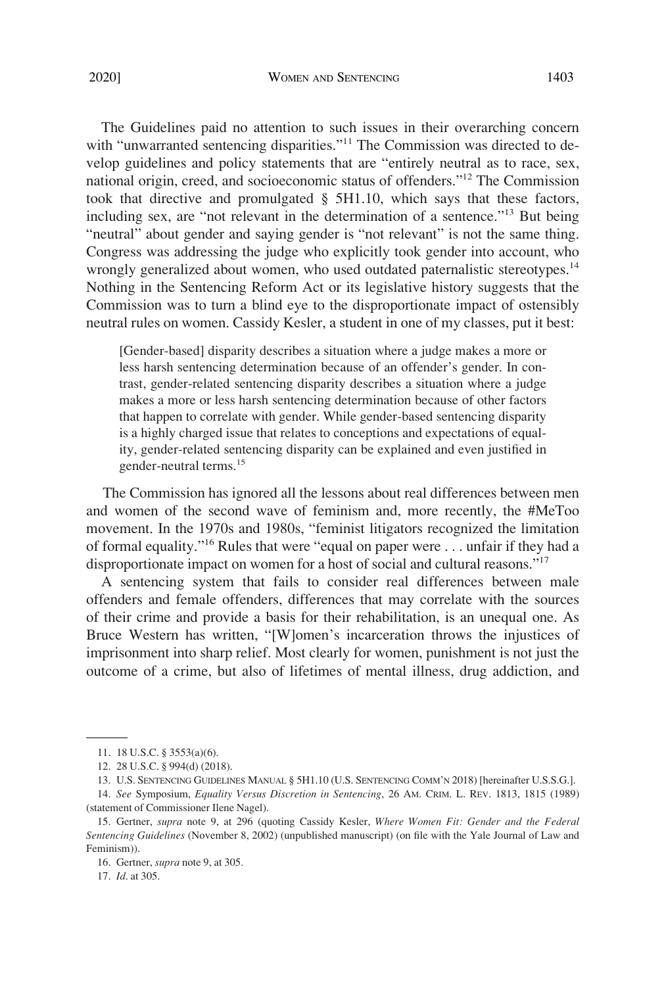The Guidelines paid no attention to such issues in their overarching concern with "unwarranted sentencing disparities."<sup>11</sup> The Commission was directed to develop guidelines and policy statements that are "entirely neutral as to race, sex, national origin, creed, and socioeconomic status of offenders."12 The Commission took that directive and promulgated § 5H1.10, which says that these factors, including sex, are "not relevant in the determination of a sentence."<sup>13</sup> But being "neutral" about gender and saying gender is "not relevant" is not the same thing. Congress was addressing the judge who explicitly took gender into account, who wrongly generalized about women, who used outdated paternalistic stereotypes.<sup>14</sup> Nothing in the Sentencing Reform Act or its legislative history suggests that the Commission was to turn a blind eye to the disproportionate impact of ostensibly neutral rules on women. Cassidy Kesler, a student in one of my classes, put it best:

[Gender-based] disparity describes a situation where a judge makes a more or less harsh sentencing determination because of an offender's gender. In contrast, gender-related sentencing disparity describes a situation where a judge makes a more or less harsh sentencing determination because of other factors that happen to correlate with gender. While gender-based sentencing disparity is a highly charged issue that relates to conceptions and expectations of equality, gender-related sentencing disparity can be explained and even justified in gender-neutral terms.<sup>15</sup>

The Commission has ignored all the lessons about real differences between men and women of the second wave of feminism and, more recently, the #MeToo movement. In the 1970s and 1980s, "feminist litigators recognized the limitation of formal equality."16 Rules that were "equal on paper were . . . unfair if they had a disproportionate impact on women for a host of social and cultural reasons."17

A sentencing system that fails to consider real differences between male offenders and female offenders, differences that may correlate with the sources of their crime and provide a basis for their rehabilitation, is an unequal one. As Bruce Western has written, "[W]omen's incarceration throws the injustices of imprisonment into sharp relief. Most clearly for women, punishment is not just the outcome of a crime, but also of lifetimes of mental illness, drug addiction, and

17. *Id*. at 305.

<sup>11. 18</sup> U.S.C. § 3553(a)(6).

<sup>12. 28</sup> U.S.C. § 994(d) (2018).

<sup>13.</sup> U.S. SENTENCING GUIDELINES MANUAL § 5H1.10 (U.S. SENTENCING COMM'N 2018) [hereinafter U.S.S.G.].

<sup>14.</sup> *See* Symposium, *Equality Versus Discretion in Sentencing*, 26 AM. CRIM. L. REV. 1813, 1815 (1989) (statement of Commissioner Ilene Nagel).

<sup>15.</sup> Gertner, *supra* note 9, at 296 (quoting Cassidy Kesler, *Where Women Fit: Gender and the Federal Sentencing Guidelines* (November 8, 2002) (unpublished manuscript) (on file with the Yale Journal of Law and Feminism)).

<sup>16.</sup> Gertner, *supra* note 9, at 305.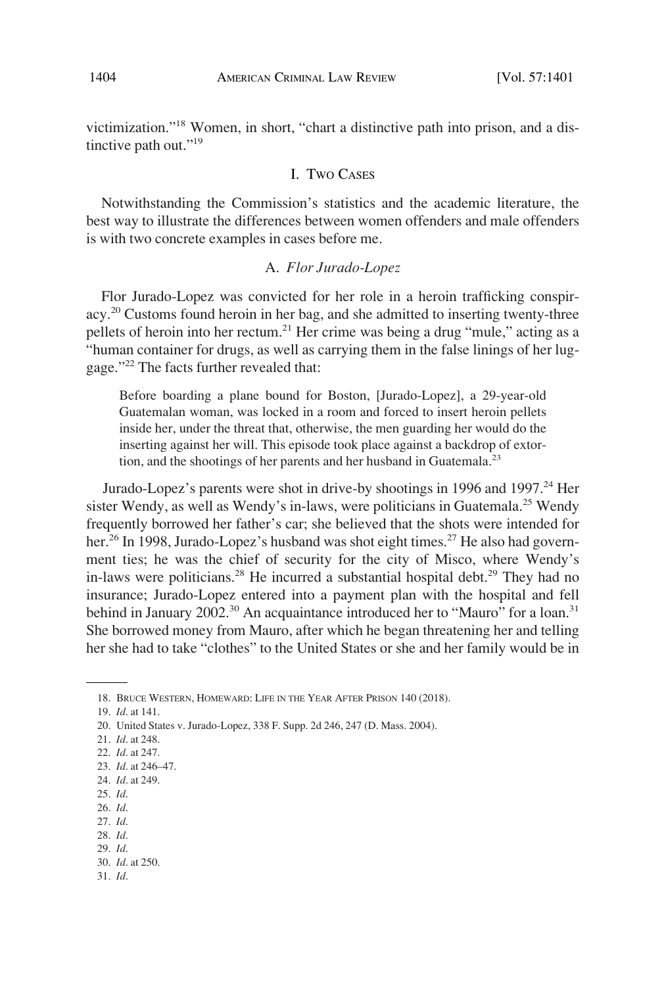victimization."18 Women, in short, "chart a distinctive path into prison, and a distinctive path out."<sup>19</sup>

### I. TWO CASES

Notwithstanding the Commission's statistics and the academic literature, the best way to illustrate the differences between women offenders and male offenders is with two concrete examples in cases before me.

## A. *Flor Jurado-Lopez*

Flor Jurado-Lopez was convicted for her role in a heroin trafficking conspiracy.20 Customs found heroin in her bag, and she admitted to inserting twenty-three pellets of heroin into her rectum.<sup>21</sup> Her crime was being a drug "mule," acting as a "human container for drugs, as well as carrying them in the false linings of her luggage."22 The facts further revealed that:

Before boarding a plane bound for Boston, [Jurado-Lopez], a 29-year-old Guatemalan woman, was locked in a room and forced to insert heroin pellets inside her, under the threat that, otherwise, the men guarding her would do the inserting against her will. This episode took place against a backdrop of extortion, and the shootings of her parents and her husband in Guatemala. $^{23}$ 

Jurado-Lopez's parents were shot in drive-by shootings in 1996 and 1997.<sup>24</sup> Her sister Wendy, as well as Wendy's in-laws, were politicians in Guatemala.<sup>25</sup> Wendy frequently borrowed her father's car; she believed that the shots were intended for her.<sup>26</sup> In 1998, Jurado-Lopez's husband was shot eight times.<sup>27</sup> He also had government ties; he was the chief of security for the city of Misco, where Wendy's in-laws were politicians.<sup>28</sup> He incurred a substantial hospital debt.<sup>29</sup> They had no insurance; Jurado-Lopez entered into a payment plan with the hospital and fell behind in January 2002.<sup>30</sup> An acquaintance introduced her to "Mauro" for a loan.<sup>31</sup> She borrowed money from Mauro, after which he began threatening her and telling her she had to take "clothes" to the United States or she and her family would be in

- 25. *Id*.
- 26. *Id*.
- 27. *Id*.
- 28. *Id*. 29. *Id*.
- 30. *Id*. at 250.
- 31. *Id*.

<sup>18.</sup> BRUCE WESTERN, HOMEWARD: LIFE IN THE YEAR AFTER PRISON 140 (2018).

<sup>19.</sup> *Id*. at 141.

<sup>20.</sup> United States v. Jurado-Lopez, 338 F. Supp. 2d 246, 247 (D. Mass. 2004).

<sup>21.</sup> *Id*. at 248.

<sup>22.</sup> *Id*. at 247.

<sup>23.</sup> *Id*. at 246–47.

<sup>24.</sup> *Id*. at 249.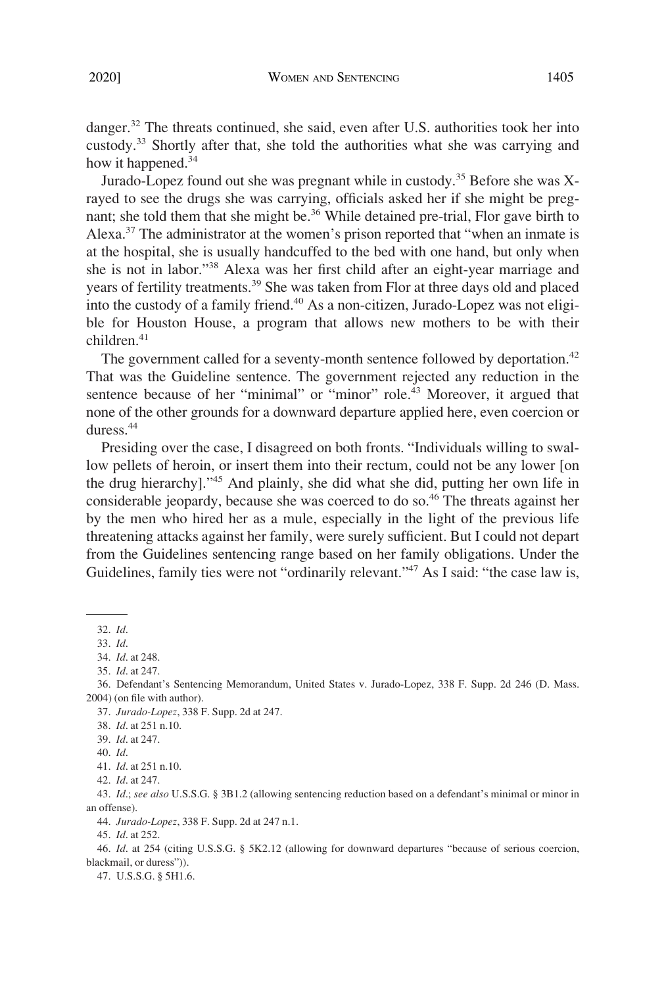danger.<sup>32</sup> The threats continued, she said, even after U.S. authorities took her into custody.33 Shortly after that, she told the authorities what she was carrying and how it happened.<sup>34</sup>

Jurado-Lopez found out she was pregnant while in custody.35 Before she was Xrayed to see the drugs she was carrying, officials asked her if she might be pregnant; she told them that she might be.<sup>36</sup> While detained pre-trial, Flor gave birth to Alexa. $37$  The administrator at the women's prison reported that "when an inmate is at the hospital, she is usually handcuffed to the bed with one hand, but only when she is not in labor."38 Alexa was her first child after an eight-year marriage and years of fertility treatments.<sup>39</sup> She was taken from Flor at three days old and placed into the custody of a family friend.<sup>40</sup> As a non-citizen, Jurado-Lopez was not eligible for Houston House, a program that allows new mothers to be with their children.<sup>41</sup>

The government called for a seventy-month sentence followed by deportation.<sup>42</sup> That was the Guideline sentence. The government rejected any reduction in the sentence because of her "minimal" or "minor" role.<sup>43</sup> Moreover, it argued that none of the other grounds for a downward departure applied here, even coercion or duress.44

Presiding over the case, I disagreed on both fronts. "Individuals willing to swallow pellets of heroin, or insert them into their rectum, could not be any lower [on the drug hierarchy]."45 And plainly, she did what she did, putting her own life in considerable jeopardy, because she was coerced to do so.<sup>46</sup> The threats against her by the men who hired her as a mule, especially in the light of the previous life threatening attacks against her family, were surely sufficient. But I could not depart from the Guidelines sentencing range based on her family obligations. Under the Guidelines, family ties were not "ordinarily relevant."<sup>47</sup> As I said: "the case law is,

37. *Jurado-Lopez*, 338 F. Supp. 2d at 247.

40. *Id*.

42. *Id*. at 247.

44. *Jurado-Lopez*, 338 F. Supp. 2d at 247 n.1.

45. *Id*. at 252.

46. *Id*. at 254 (citing U.S.S.G. § 5K2.12 (allowing for downward departures "because of serious coercion, blackmail, or duress")).

47. U.S.S.G. § 5H1.6.

<sup>32.</sup> *Id*.

<sup>33.</sup> *Id*.

<sup>34.</sup> *Id*. at 248.

<sup>35.</sup> *Id*. at 247.

<sup>36.</sup> Defendant's Sentencing Memorandum, United States v. Jurado-Lopez, 338 F. Supp. 2d 246 (D. Mass. 2004) (on file with author).

<sup>38.</sup> *Id*. at 251 n.10.

<sup>39.</sup> *Id*. at 247.

<sup>41.</sup> *Id*. at 251 n.10.

<sup>43.</sup> *Id*.; *see also* U.S.S.G. § 3B1.2 (allowing sentencing reduction based on a defendant's minimal or minor in an offense).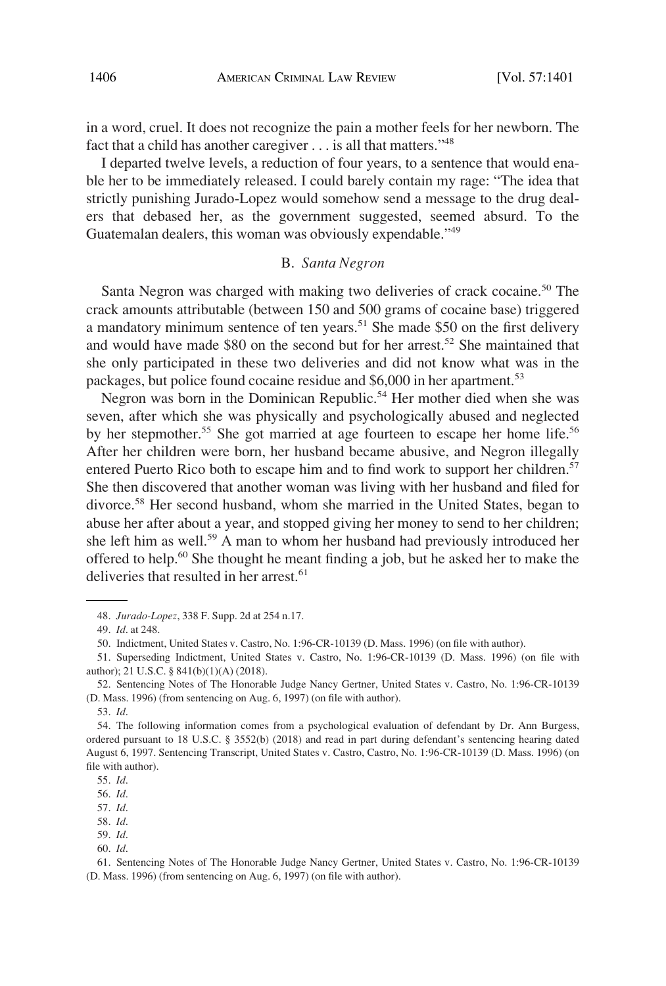in a word, cruel. It does not recognize the pain a mother feels for her newborn. The fact that a child has another caregiver . . . is all that matters."<sup>48</sup>

I departed twelve levels, a reduction of four years, to a sentence that would enable her to be immediately released. I could barely contain my rage: "The idea that strictly punishing Jurado-Lopez would somehow send a message to the drug dealers that debased her, as the government suggested, seemed absurd. To the Guatemalan dealers, this woman was obviously expendable."<sup>49</sup>

### B. *Santa Negron*

Santa Negron was charged with making two deliveries of crack cocaine.<sup>50</sup> The crack amounts attributable (between 150 and 500 grams of cocaine base) triggered a mandatory minimum sentence of ten years.<sup>51</sup> She made \$50 on the first delivery and would have made \$80 on the second but for her arrest.<sup>52</sup> She maintained that she only participated in these two deliveries and did not know what was in the packages, but police found cocaine residue and \$6,000 in her apartment.<sup>53</sup>

Negron was born in the Dominican Republic.<sup>54</sup> Her mother died when she was seven, after which she was physically and psychologically abused and neglected by her stepmother.<sup>55</sup> She got married at age fourteen to escape her home life.<sup>56</sup> After her children were born, her husband became abusive, and Negron illegally entered Puerto Rico both to escape him and to find work to support her children.<sup>57</sup> She then discovered that another woman was living with her husband and filed for divorce.58 Her second husband, whom she married in the United States, began to abuse her after about a year, and stopped giving her money to send to her children; she left him as well.<sup>59</sup> A man to whom her husband had previously introduced her offered to help.60 She thought he meant finding a job, but he asked her to make the deliveries that resulted in her arrest.<sup>61</sup>

57. *Id*.

60. *Id*.

<sup>48.</sup> *Jurado-Lopez*, 338 F. Supp. 2d at 254 n.17.

<sup>49.</sup> *Id*. at 248.

<sup>50.</sup> Indictment, United States v. Castro, No. 1:96-CR-10139 (D. Mass. 1996) (on file with author).

<sup>51.</sup> Superseding Indictment, United States v. Castro, No. 1:96-CR-10139 (D. Mass. 1996) (on file with author); 21 U.S.C. § 841(b)(1)(A) (2018).

<sup>52.</sup> Sentencing Notes of The Honorable Judge Nancy Gertner, United States v. Castro, No. 1:96-CR-10139 (D. Mass. 1996) (from sentencing on Aug. 6, 1997) (on file with author).

<sup>53.</sup> *Id*.

<sup>54.</sup> The following information comes from a psychological evaluation of defendant by Dr. Ann Burgess, ordered pursuant to 18 U.S.C. § 3552(b) (2018) and read in part during defendant's sentencing hearing dated August 6, 1997. Sentencing Transcript, United States v. Castro, Castro, No. 1:96-CR-10139 (D. Mass. 1996) (on file with author).

<sup>55.</sup> *Id*.

<sup>56.</sup> *Id*.

<sup>58.</sup> *Id*. 59. *Id*.

<sup>61.</sup> Sentencing Notes of The Honorable Judge Nancy Gertner, United States v. Castro, No. 1:96-CR-10139 (D. Mass. 1996) (from sentencing on Aug. 6, 1997) (on file with author).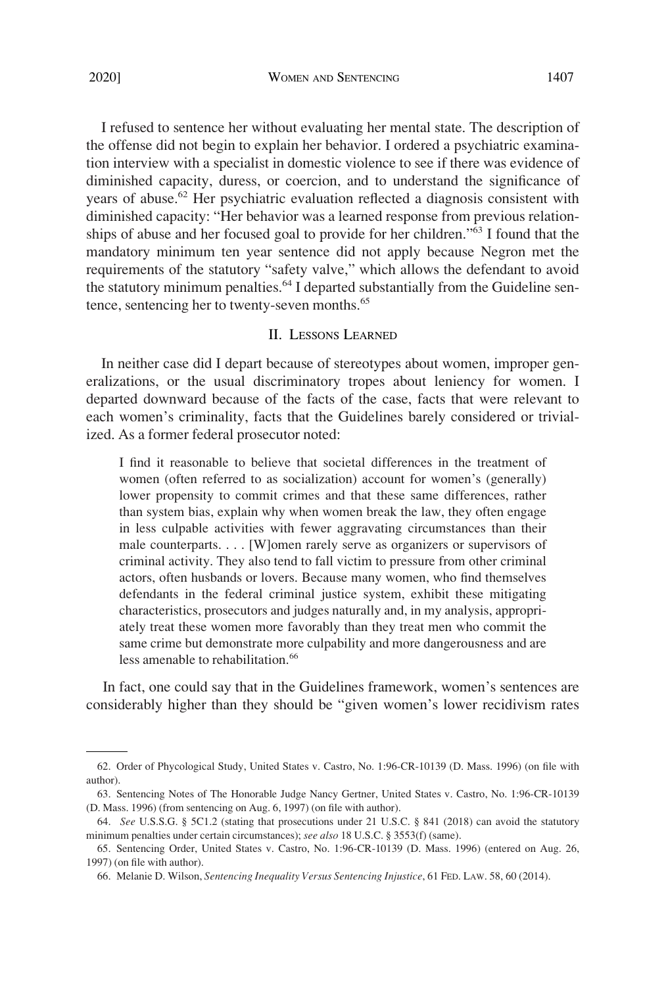I refused to sentence her without evaluating her mental state. The description of the offense did not begin to explain her behavior. I ordered a psychiatric examination interview with a specialist in domestic violence to see if there was evidence of diminished capacity, duress, or coercion, and to understand the significance of years of abuse.<sup>62</sup> Her psychiatric evaluation reflected a diagnosis consistent with diminished capacity: "Her behavior was a learned response from previous relationships of abuse and her focused goal to provide for her children."63 I found that the mandatory minimum ten year sentence did not apply because Negron met the requirements of the statutory "safety valve," which allows the defendant to avoid the statutory minimum penalties.<sup>64</sup> I departed substantially from the Guideline sentence, sentencing her to twenty-seven months.<sup>65</sup>

#### II. LESSONS LEARNED

In neither case did I depart because of stereotypes about women, improper generalizations, or the usual discriminatory tropes about leniency for women. I departed downward because of the facts of the case, facts that were relevant to each women's criminality, facts that the Guidelines barely considered or trivialized. As a former federal prosecutor noted:

I find it reasonable to believe that societal differences in the treatment of women (often referred to as socialization) account for women's (generally) lower propensity to commit crimes and that these same differences, rather than system bias, explain why when women break the law, they often engage in less culpable activities with fewer aggravating circumstances than their male counterparts. . . . [W]omen rarely serve as organizers or supervisors of criminal activity. They also tend to fall victim to pressure from other criminal actors, often husbands or lovers. Because many women, who find themselves defendants in the federal criminal justice system, exhibit these mitigating characteristics, prosecutors and judges naturally and, in my analysis, appropriately treat these women more favorably than they treat men who commit the same crime but demonstrate more culpability and more dangerousness and are less amenable to rehabilitation.<sup>66</sup>

In fact, one could say that in the Guidelines framework, women's sentences are considerably higher than they should be "given women's lower recidivism rates

<sup>62.</sup> Order of Phycological Study, United States v. Castro, No. 1:96-CR-10139 (D. Mass. 1996) (on file with author).

<sup>63.</sup> Sentencing Notes of The Honorable Judge Nancy Gertner, United States v. Castro, No. 1:96-CR-10139 (D. Mass. 1996) (from sentencing on Aug. 6, 1997) (on file with author).

<sup>64.</sup> *See* U.S.S.G. § 5C1.2 (stating that prosecutions under 21 U.S.C. § 841 (2018) can avoid the statutory minimum penalties under certain circumstances); *see also* 18 U.S.C. § 3553(f) (same).

<sup>65.</sup> Sentencing Order, United States v. Castro, No. 1:96-CR-10139 (D. Mass. 1996) (entered on Aug. 26, 1997) (on file with author).

<sup>66.</sup> Melanie D. Wilson, *Sentencing Inequality Versus Sentencing Injustice*, 61 FED. LAW. 58, 60 (2014).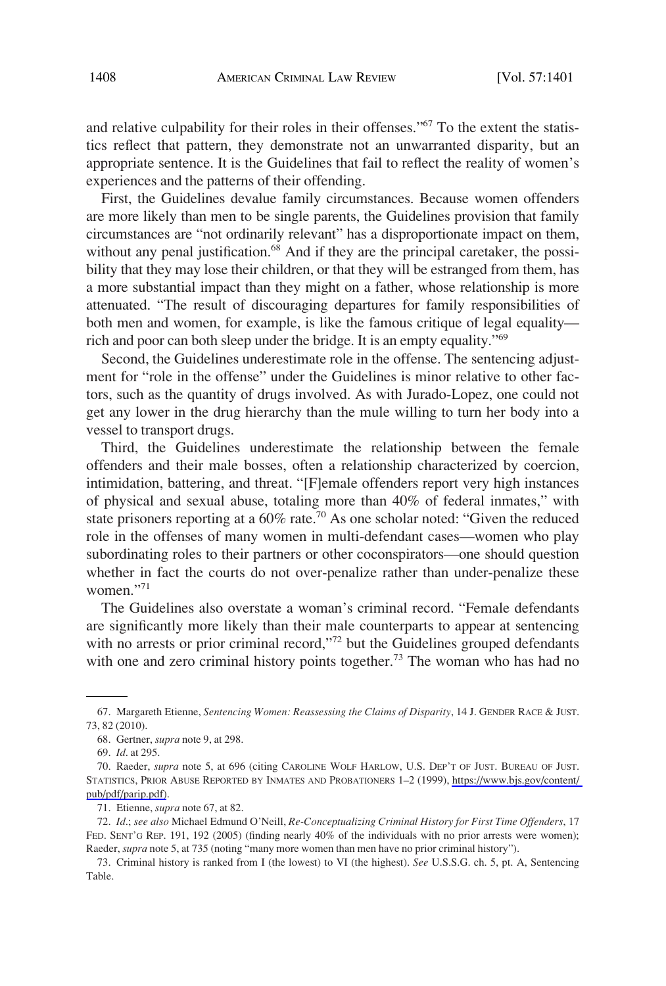and relative culpability for their roles in their offenses."<sup>67</sup> To the extent the statistics reflect that pattern, they demonstrate not an unwarranted disparity, but an appropriate sentence. It is the Guidelines that fail to reflect the reality of women's experiences and the patterns of their offending.

First, the Guidelines devalue family circumstances. Because women offenders are more likely than men to be single parents, the Guidelines provision that family circumstances are "not ordinarily relevant" has a disproportionate impact on them, without any penal justification.<sup>68</sup> And if they are the principal caretaker, the possibility that they may lose their children, or that they will be estranged from them, has a more substantial impact than they might on a father, whose relationship is more attenuated. "The result of discouraging departures for family responsibilities of both men and women, for example, is like the famous critique of legal equality rich and poor can both sleep under the bridge. It is an empty equality."69

Second, the Guidelines underestimate role in the offense. The sentencing adjustment for "role in the offense" under the Guidelines is minor relative to other factors, such as the quantity of drugs involved. As with Jurado-Lopez, one could not get any lower in the drug hierarchy than the mule willing to turn her body into a vessel to transport drugs.

Third, the Guidelines underestimate the relationship between the female offenders and their male bosses, often a relationship characterized by coercion, intimidation, battering, and threat. "[F]emale offenders report very high instances of physical and sexual abuse, totaling more than 40% of federal inmates," with state prisoners reporting at a  $60\%$  rate.<sup>70</sup> As one scholar noted: "Given the reduced role in the offenses of many women in multi-defendant cases—women who play subordinating roles to their partners or other coconspirators—one should question whether in fact the courts do not over-penalize rather than under-penalize these women $"$ <sup>71</sup>

The Guidelines also overstate a woman's criminal record. "Female defendants are significantly more likely than their male counterparts to appear at sentencing with no arrests or prior criminal record,"<sup>72</sup> but the Guidelines grouped defendants with one and zero criminal history points together.<sup>73</sup> The woman who has had no

<sup>67.</sup> Margareth Etienne, *Sentencing Women: Reassessing the Claims of Disparity*, 14 J. GENDER RACE & JUST. 73, 82 (2010).

<sup>68.</sup> Gertner, *supra* note 9, at 298.

<sup>69.</sup> *Id*. at 295.

<sup>70.</sup> Raeder, *supra* note 5, at 696 (citing CAROLINE WOLF HARLOW, U.S. DEP'T OF JUST. BUREAU OF JUST. STATISTICS, PRIOR ABUSE REPORTED BY INMATES AND PROBATIONERS 1–2 (1999), [https://www.bjs.gov/content/](https://www.bjs.gov/content/pub/pdf/parip.pdf)  [pub/pdf/parip.pdf\).](https://www.bjs.gov/content/pub/pdf/parip.pdf)

<sup>71.</sup> Etienne, *supra* note 67, at 82.

<sup>72.</sup> *Id*.; *see also* Michael Edmund O'Neill, *Re-Conceptualizing Criminal History for First Time Offenders*, 17 FED. SENT'G REP. 191, 192 (2005) (finding nearly 40% of the individuals with no prior arrests were women); Raeder, *supra* note 5, at 735 (noting "many more women than men have no prior criminal history").

<sup>73.</sup> Criminal history is ranked from I (the lowest) to VI (the highest). *See* U.S.S.G. ch. 5, pt. A, Sentencing Table.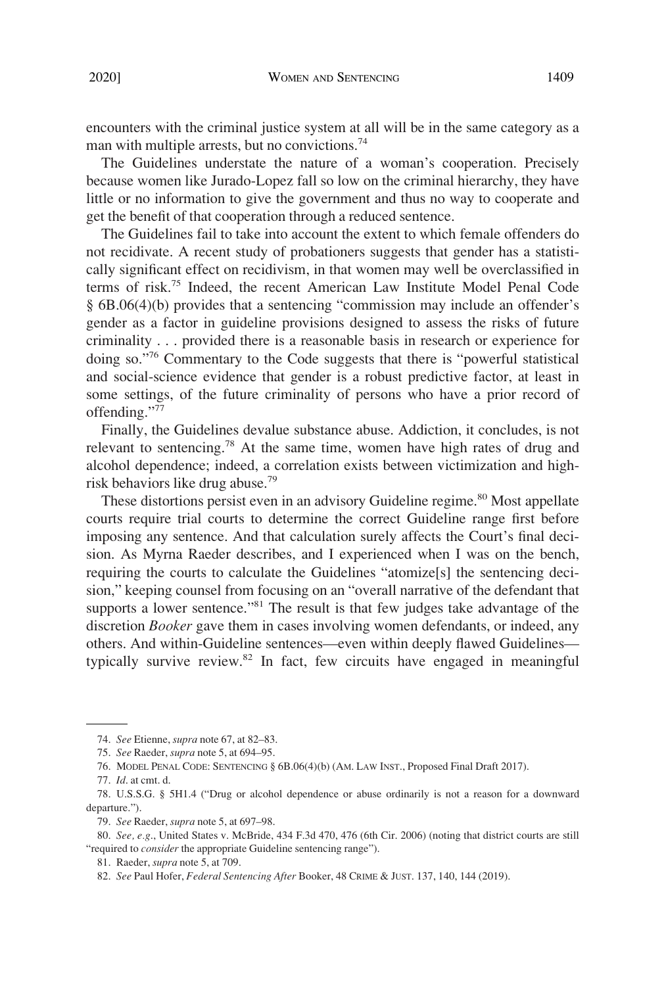encounters with the criminal justice system at all will be in the same category as a man with multiple arrests, but no convictions.<sup>74</sup>

The Guidelines understate the nature of a woman's cooperation. Precisely because women like Jurado-Lopez fall so low on the criminal hierarchy, they have little or no information to give the government and thus no way to cooperate and get the benefit of that cooperation through a reduced sentence.

The Guidelines fail to take into account the extent to which female offenders do not recidivate. A recent study of probationers suggests that gender has a statistically significant effect on recidivism, in that women may well be overclassified in terms of risk.75 Indeed, the recent American Law Institute Model Penal Code § 6B.06(4)(b) provides that a sentencing "commission may include an offender's gender as a factor in guideline provisions designed to assess the risks of future criminality . . . provided there is a reasonable basis in research or experience for doing so."76 Commentary to the Code suggests that there is "powerful statistical and social-science evidence that gender is a robust predictive factor, at least in some settings, of the future criminality of persons who have a prior record of offending."77

Finally, the Guidelines devalue substance abuse. Addiction, it concludes, is not relevant to sentencing.78 At the same time, women have high rates of drug and alcohol dependence; indeed, a correlation exists between victimization and highrisk behaviors like drug abuse.<sup>79</sup>

These distortions persist even in an advisory Guideline regime.<sup>80</sup> Most appellate courts require trial courts to determine the correct Guideline range first before imposing any sentence. And that calculation surely affects the Court's final decision. As Myrna Raeder describes, and I experienced when I was on the bench, requiring the courts to calculate the Guidelines "atomize[s] the sentencing decision," keeping counsel from focusing on an "overall narrative of the defendant that supports a lower sentence."<sup>81</sup> The result is that few judges take advantage of the discretion *Booker* gave them in cases involving women defendants, or indeed, any others. And within-Guideline sentences—even within deeply flawed Guidelines typically survive review.<sup>82</sup> In fact, few circuits have engaged in meaningful

<sup>74.</sup> *See* Etienne, *supra* note 67, at 82–83.

<sup>75.</sup> *See* Raeder, *supra* note 5, at 694–95.

<sup>76.</sup> MODEL PENAL CODE: SENTENCING § 6B.06(4)(b) (AM. LAW INST., Proposed Final Draft 2017).

<sup>77.</sup> *Id*. at cmt. d.

<sup>78.</sup> U.S.S.G. § 5H1.4 ("Drug or alcohol dependence or abuse ordinarily is not a reason for a downward departure.").

<sup>79.</sup> *See* Raeder, *supra* note 5, at 697–98.

<sup>80.</sup> *See, e.g*., United States v. McBride, 434 F.3d 470, 476 (6th Cir. 2006) (noting that district courts are still "required to *consider* the appropriate Guideline sentencing range").

<sup>81.</sup> Raeder, *supra* note 5, at 709.

<sup>82.</sup> *See* Paul Hofer, *Federal Sentencing After* Booker, 48 CRIME & JUST. 137, 140, 144 (2019).